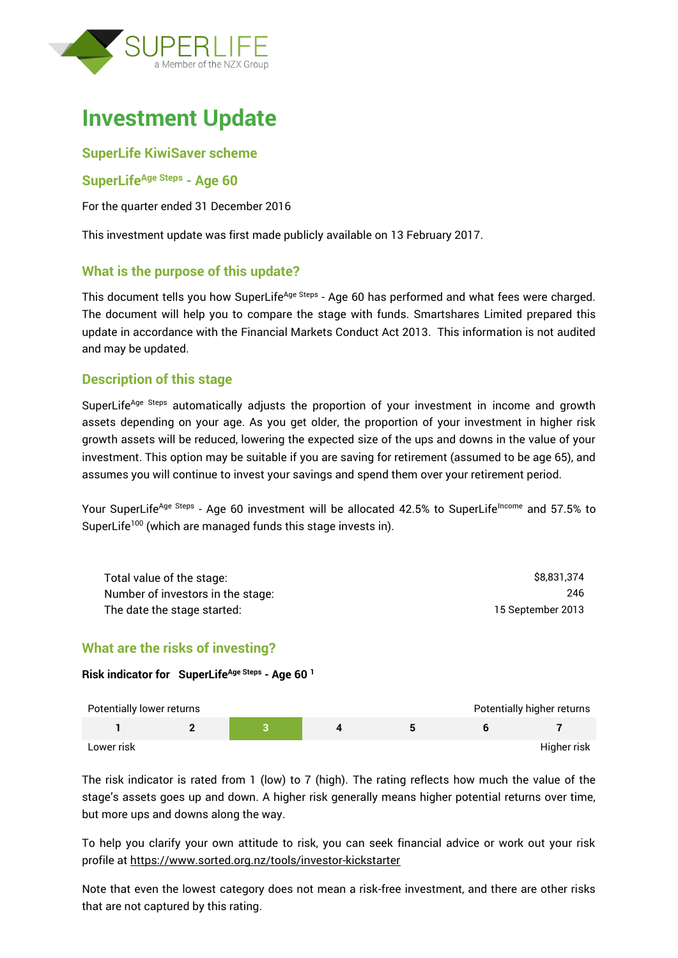

# **Investment Update**

## **SuperLife KiwiSaver scheme**

### **SuperLifeAge Steps - Age 60**

For the quarter ended 31 December 2016

This investment update was first made publicly available on 13 February 2017.

## **What is the purpose of this update?**

This document tells you how SuperLife<sup>Age Steps</sup> - Age 60 has performed and what fees were charged. The document will help you to compare the stage with funds. Smartshares Limited prepared this update in accordance with the Financial Markets Conduct Act 2013. This information is not audited and may be updated.

## **Description of this stage**

SuperLife<sup>Age Steps</sup> automatically adjusts the proportion of your investment in income and growth assets depending on your age. As you get older, the proportion of your investment in higher risk growth assets will be reduced, lowering the expected size of the ups and downs in the value of your investment. This option may be suitable if you are saving for retirement (assumed to be age 65), and assumes you will continue to invest your savings and spend them over your retirement period.

Your SuperLife<sup>Age Steps</sup> - Age 60 investment will be allocated 42.5% to SuperLife<sup>Income</sup> and 57.5% to SuperLife<sup>100</sup> (which are managed funds this stage invests in).

| Total value of the stage:         | \$8.831.374       |
|-----------------------------------|-------------------|
| Number of investors in the stage: | 246               |
| The date the stage started:       | 15 September 2013 |

## **What are the risks of investing?**

#### **Risk indicator for SuperLifeAge Steps - Age 60 <sup>1</sup>**

| Potentially lower returns |  |  | Potentially higher returns |
|---------------------------|--|--|----------------------------|
|                           |  |  |                            |
| Lower risk                |  |  | Higher risk                |

The risk indicator is rated from 1 (low) to 7 (high). The rating reflects how much the value of the stage's assets goes up and down. A higher risk generally means higher potential returns over time, but more ups and downs along the way.

To help you clarify your own attitude to risk, you can seek financial advice or work out your risk profile at<https://www.sorted.org.nz/tools/investor-kickstarter>

Note that even the lowest category does not mean a risk-free investment, and there are other risks that are not captured by this rating.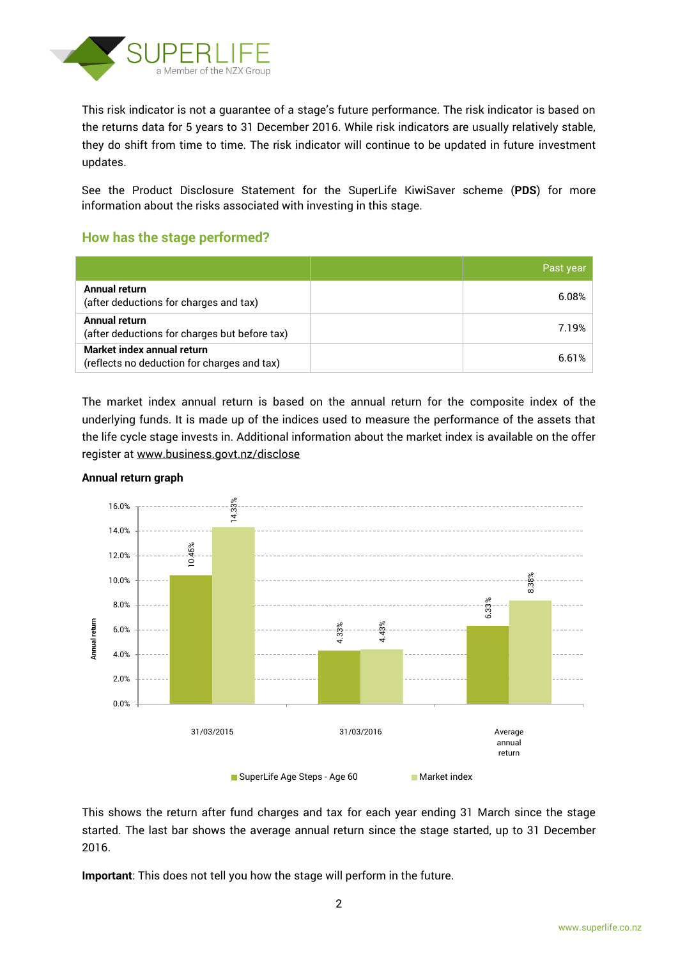

This risk indicator is not a guarantee of a stage's future performance. The risk indicator is based on the returns data for 5 years to 31 December 2016. While risk indicators are usually relatively stable, they do shift from time to time. The risk indicator will continue to be updated in future investment updates.

See the Product Disclosure Statement for the SuperLife KiwiSaver scheme (**PDS**) for more information about the risks associated with investing in this stage.

## **How has the stage performed?**

|                                                                           | Past year |
|---------------------------------------------------------------------------|-----------|
| Annual return<br>(after deductions for charges and tax)                   | 6.08%     |
| Annual return<br>(after deductions for charges but before tax)            | 7.19%     |
| Market index annual return<br>(reflects no deduction for charges and tax) | 6.61%     |

The market index annual return is based on the annual return for the composite index of the underlying funds. It is made up of the indices used to measure the performance of the assets that the life cycle stage invests in. Additional information about the market index is available on the offer register at [www.business.govt.nz/disclose](http://www.business.govt.nz/disclose)



#### **Annual return graph**

This shows the return after fund charges and tax for each year ending 31 March since the stage started. The last bar shows the average annual return since the stage started, up to 31 December 2016.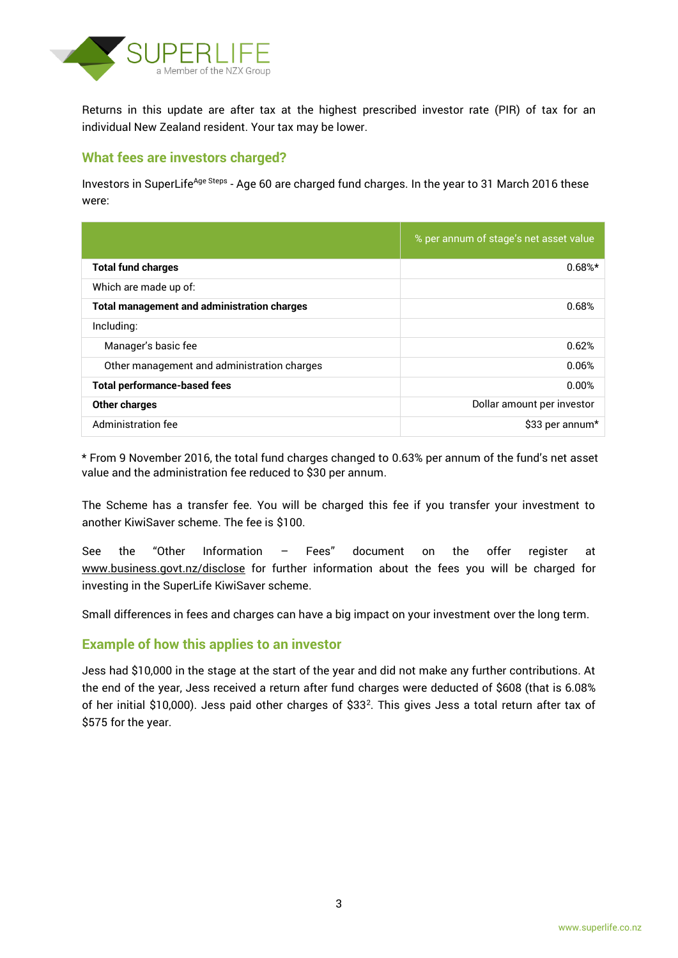

Returns in this update are after tax at the highest prescribed investor rate (PIR) of tax for an individual New Zealand resident. Your tax may be lower.

## **What fees are investors charged?**

Investors in SuperLife<sup>Age Steps</sup> - Age 60 are charged fund charges. In the year to 31 March 2016 these were:

|                                                    | % per annum of stage's net asset value |
|----------------------------------------------------|----------------------------------------|
| <b>Total fund charges</b>                          | $0.68%$ *                              |
| Which are made up of:                              |                                        |
| <b>Total management and administration charges</b> | 0.68%                                  |
| Including:                                         |                                        |
| Manager's basic fee                                | 0.62%                                  |
| Other management and administration charges        | 0.06%                                  |
| <b>Total performance-based fees</b>                | 0.00%                                  |
| <b>Other charges</b>                               | Dollar amount per investor             |
| Administration fee                                 | \$33 per annum*                        |

\* From 9 November 2016, the total fund charges changed to 0.63% per annum of the fund's net asset value and the administration fee reduced to \$30 per annum.

The Scheme has a transfer fee. You will be charged this fee if you transfer your investment to another KiwiSaver scheme. The fee is \$100.

See the "Other Information – Fees" document on the offer register at www.business.govt.nz/disclose for further information about the fees you will be charged for investing in the SuperLife KiwiSaver scheme.

Small differences in fees and charges can have a big impact on your investment over the long term.

## **Example of how this applies to an investor**

Jess had \$10,000 in the stage at the start of the year and did not make any further contributions. At the end of the year, Jess received a return after fund charges were deducted of \$608 (that is 6.08% of her initial \$10,000). Jess paid other charges of \$33<sup>2</sup> . This gives Jess a total return after tax of \$575 for the year.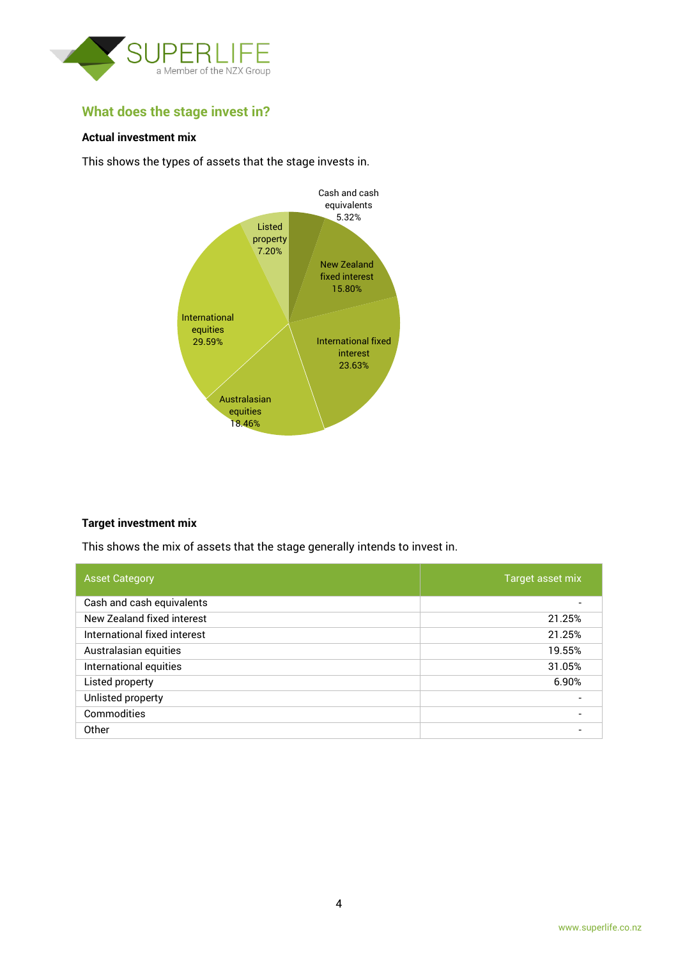

## **What does the stage invest in?**

#### **Actual investment mix**

This shows the types of assets that the stage invests in.



#### **Target investment mix**

This shows the mix of assets that the stage generally intends to invest in.

| <b>Asset Category</b>        | Target asset mix         |
|------------------------------|--------------------------|
| Cash and cash equivalents    |                          |
| New Zealand fixed interest   | 21.25%                   |
| International fixed interest | 21.25%                   |
| Australasian equities        | 19.55%                   |
| International equities       | 31.05%                   |
| Listed property              | 6.90%                    |
| Unlisted property            | $\overline{\phantom{0}}$ |
| Commodities                  | $\overline{\phantom{0}}$ |
| Other                        |                          |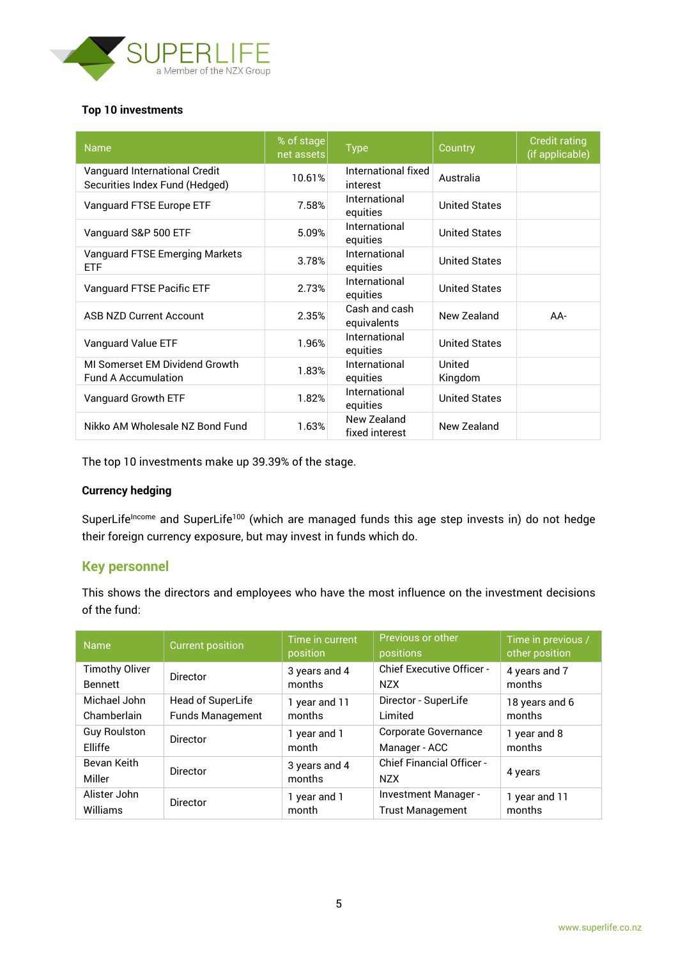

#### **Top 10 investments**

| <b>Name</b>                                                     | % of stage<br>net assets | <b>Type</b>                     | Country              | <b>Credit rating</b><br>(if applicable) |
|-----------------------------------------------------------------|--------------------------|---------------------------------|----------------------|-----------------------------------------|
| Vanguard International Credit<br>Securities Index Fund (Hedged) | 10.61%                   | International fixed<br>interest | Australia            |                                         |
| Vanguard FTSE Europe ETF                                        | 7.58%                    | International<br>equities       | <b>United States</b> |                                         |
| Vanguard S&P 500 ETF                                            | 5.09%                    | International<br>equities       | <b>United States</b> |                                         |
| Vanguard FTSE Emerging Markets<br><b>ETF</b>                    | 3.78%                    | International<br>equities       | <b>United States</b> |                                         |
| Vanguard FTSE Pacific ETF                                       | 2.73%                    | International<br>equities       | <b>United States</b> |                                         |
| <b>ASB NZD Current Account</b>                                  | 2.35%                    | Cash and cash<br>equivalents    | New Zealand          | $AA-$                                   |
| Vanguard Value ETF                                              | 1.96%                    | International<br>equities       | <b>United States</b> |                                         |
| MI Somerset EM Dividend Growth<br><b>Fund A Accumulation</b>    | 1.83%                    | International<br>equities       | United<br>Kingdom    |                                         |
| Vanguard Growth ETF                                             | 1.82%                    | International<br>equities       | <b>United States</b> |                                         |
| Nikko AM Wholesale NZ Bond Fund                                 | 1.63%                    | New Zealand<br>fixed interest   | New Zealand          |                                         |

The top 10 investments make up 39.39% of the stage.

#### **Currency hedging**

SuperLife<sup>Income</sup> and SuperLife<sup>100</sup> (which are managed funds this age step invests in) do not hedge their foreign currency exposure, but may invest in funds which do.

### **Key personnel**

This shows the directors and employees who have the most influence on the investment decisions of the fund:

| <b>Name</b>           | <b>Current position</b> | Time in current<br>position | Previous or other<br>positions                 | Time in previous /<br>other position |
|-----------------------|-------------------------|-----------------------------|------------------------------------------------|--------------------------------------|
| <b>Timothy Oliver</b> | <b>Director</b>         | 3 years and 4               | <b>Chief Executive Officer -</b>               | 4 years and 7                        |
| <b>Bennett</b>        |                         | months                      | <b>NZX</b>                                     | months                               |
| Michael John          | Head of SuperLife       | 1 year and 11               | Director - SuperLife                           | 18 years and 6                       |
| Chamberlain           | <b>Funds Management</b> | months                      | Limited                                        | months                               |
| <b>Guy Roulston</b>   | <b>Director</b>         | 1 year and 1                | Corporate Governance                           | 1 year and 8                         |
| Elliffe               |                         | month                       | Manager - ACC                                  | months                               |
| Bevan Keith<br>Miller | Director                | 3 years and 4<br>months     | <b>Chief Financial Officer -</b><br><b>NZX</b> | 4 years                              |
| Alister John          | <b>Director</b>         | 1 year and 1                | Investment Manager -                           | 1 year and 11                        |
| Williams              |                         | month                       | <b>Trust Management</b>                        | months                               |